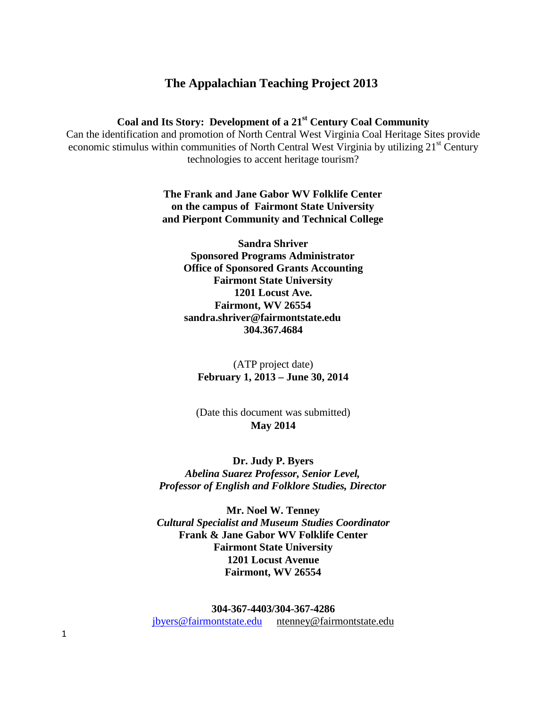# **The Appalachian Teaching Project 2013**

# **Coal and Its Story: Development of a 21st Century Coal Community**

Can the identification and promotion of North Central West Virginia Coal Heritage Sites provide economic stimulus within communities of North Central West Virginia by utilizing 21<sup>st</sup> Century technologies to accent heritage tourism?

> **The Frank and Jane Gabor WV Folklife Center on the campus of Fairmont State University and Pierpont Community and Technical College**

> > **Sandra Shriver Sponsored Programs Administrator Office of Sponsored Grants Accounting Fairmont State University 1201 Locust Ave. Fairmont, WV 2655[4](mailto:sandra.shriver@fairmontstate.edu) [sandra.shriver@fairmontstate.edu](mailto:sandra.shriver@fairmontstate.edu) 304.367.4684**

(ATP project date) **February 1, 2013 – June 30, 2014**

(Date this document was submitted) **May 2014**

**Dr. Judy P. Byers** *Abelina Suarez Professor, Senior Level, Professor of English and Folklore Studies, Director*

**Mr. Noel W. Tenney** *Cultural Specialist and Museum Studies Coordinator* **Frank & Jane Gabor WV Folklife Center Fairmont State University 1201 Locust Avenue Fairmont, WV 26554**

**304-367-4403/304-367-4286** [jbyers@fairmontstate.edu](mailto:Jane_johns@ABCCC.edu) [ntenney@fairmontstate.edu](mailto:ntenney@fairmontstate.edu)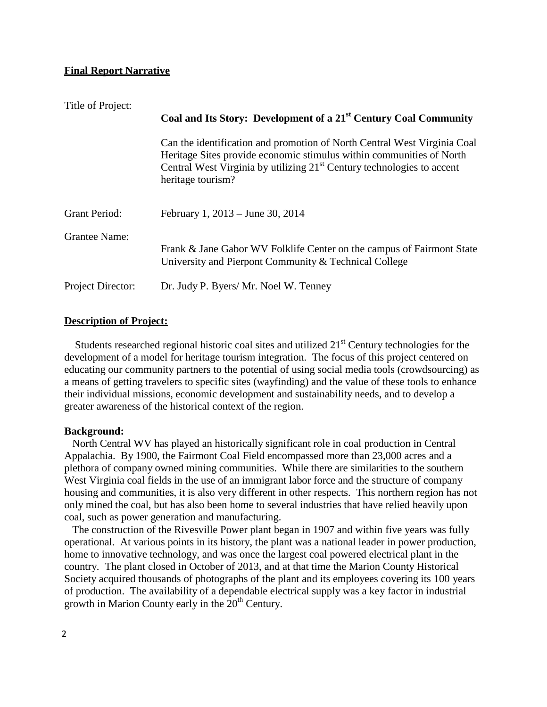### **Final Report Narrative**

| Title of Project:    | Coal and Its Story: Development of a 21 <sup>st</sup> Century Coal Community                                                                                                                                                                      |
|----------------------|---------------------------------------------------------------------------------------------------------------------------------------------------------------------------------------------------------------------------------------------------|
|                      | Can the identification and promotion of North Central West Virginia Coal<br>Heritage Sites provide economic stimulus within communities of North<br>Central West Virginia by utilizing $21st$ Century technologies to accent<br>heritage tourism? |
| <b>Grant Period:</b> | February 1, 2013 – June 30, 2014                                                                                                                                                                                                                  |
| <b>Grantee Name:</b> | Frank & Jane Gabor WV Folklife Center on the campus of Fairmont State<br>University and Pierpont Community & Technical College                                                                                                                    |
| Project Director:    | Dr. Judy P. Byers/ Mr. Noel W. Tenney                                                                                                                                                                                                             |

#### **Description of Project:**

Students researched regional historic coal sites and utilized 21<sup>st</sup> Century technologies for the development of a model for heritage tourism integration. The focus of this project centered on educating our community partners to the potential of using social media tools (crowdsourcing) as a means of getting travelers to specific sites (wayfinding) and the value of these tools to enhance their individual missions, economic development and sustainability needs, and to develop a greater awareness of the historical context of the region.

#### **Background:**

North Central WV has played an historically significant role in coal production in Central Appalachia. By 1900, the Fairmont Coal Field encompassed more than 23,000 acres and a plethora of company owned mining communities. While there are similarities to the southern West Virginia coal fields in the use of an immigrant labor force and the structure of company housing and communities, it is also very different in other respects. This northern region has not only mined the coal, but has also been home to several industries that have relied heavily upon coal, such as power generation and manufacturing.

The construction of the Rivesville Power plant began in 1907 and within five years was fully operational. At various points in its history, the plant was a national leader in power production, home to innovative technology, and was once the largest coal powered electrical plant in the country. The plant closed in October of 2013, and at that time the Marion County Historical Society acquired thousands of photographs of the plant and its employees covering its 100 years of production. The availability of a dependable electrical supply was a key factor in industrial growth in Marion County early in the  $20<sup>th</sup>$  Century.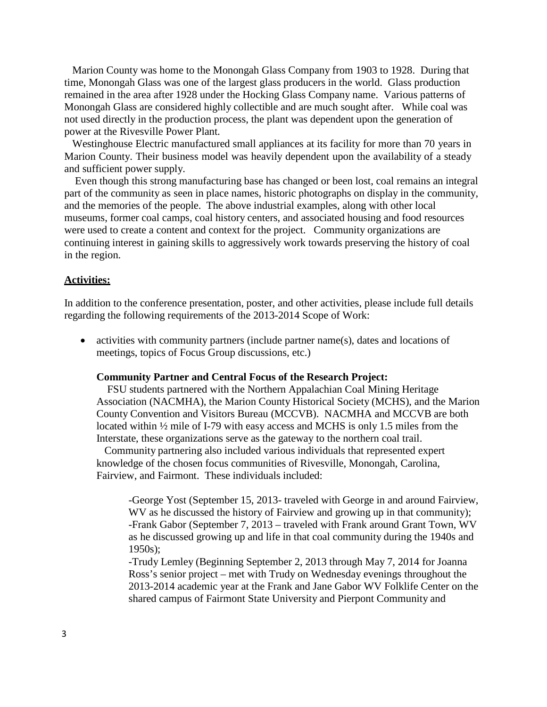Marion County was home to the Monongah Glass Company from 1903 to 1928. During that time, Monongah Glass was one of the largest glass producers in the world. Glass production remained in the area after 1928 under the Hocking Glass Company name. Various patterns of Monongah Glass are considered highly collectible and are much sought after. While coal was not used directly in the production process, the plant was dependent upon the generation of power at the Rivesville Power Plant.

Westinghouse Electric manufactured small appliances at its facility for more than 70 years in Marion County. Their business model was heavily dependent upon the availability of a steady and sufficient power supply.

Even though this strong manufacturing base has changed or been lost, coal remains an integral part of the community as seen in place names, historic photographs on display in the community, and the memories of the people. The above industrial examples, along with other local museums, former coal camps, coal history centers, and associated housing and food resources were used to create a content and context for the project. Community organizations are continuing interest in gaining skills to aggressively work towards preserving the history of coal in the region.

#### **Activities:**

In addition to the conference presentation, poster, and other activities, please include full details regarding the following requirements of the 2013-2014 Scope of Work:

• activities with community partners (include partner name(s), dates and locations of meetings, topics of Focus Group discussions, etc.)

#### **Community Partner and Central Focus of the Research Project:**

FSU students partnered with the Northern Appalachian Coal Mining Heritage Association (NACMHA), the Marion County Historical Society (MCHS), and the Marion County Convention and Visitors Bureau (MCCVB). NACMHA and MCCVB are both located within ½ mile of I-79 with easy access and MCHS is only 1.5 miles from the Interstate, these organizations serve as the gateway to the northern coal trail.

Community partnering also included various individuals that represented expert knowledge of the chosen focus communities of Rivesville, Monongah, Carolina, Fairview, and Fairmont. These individuals included:

-George Yost (September 15, 2013- traveled with George in and around Fairview, WV as he discussed the history of Fairview and growing up in that community); -Frank Gabor (September 7, 2013 – traveled with Frank around Grant Town, WV as he discussed growing up and life in that coal community during the 1940s and 1950s);

-Trudy Lemley (Beginning September 2, 2013 through May 7, 2014 for Joanna Ross's senior project – met with Trudy on Wednesday evenings throughout the 2013-2014 academic year at the Frank and Jane Gabor WV Folklife Center on the shared campus of Fairmont State University and Pierpont Community and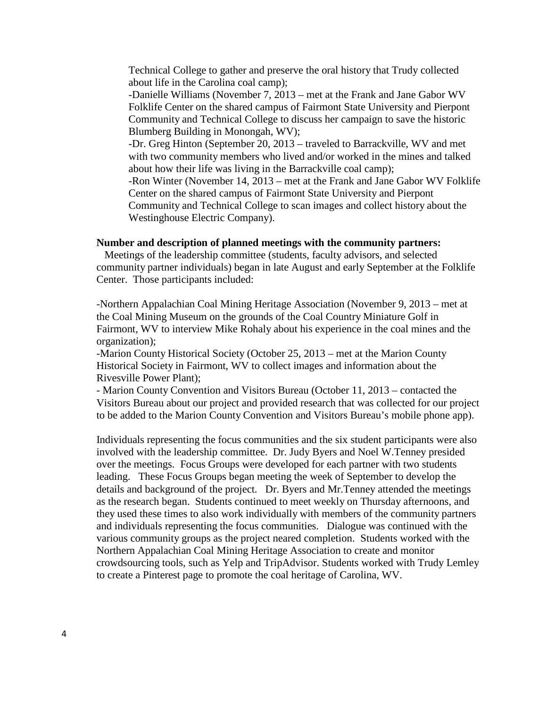Technical College to gather and preserve the oral history that Trudy collected about life in the Carolina coal camp);

-Danielle Williams (November 7, 2013 – met at the Frank and Jane Gabor WV Folklife Center on the shared campus of Fairmont State University and Pierpont Community and Technical College to discuss her campaign to save the historic Blumberg Building in Monongah, WV);

-Dr. Greg Hinton (September 20, 2013 – traveled to Barrackville, WV and met with two community members who lived and/or worked in the mines and talked about how their life was living in the Barrackville coal camp);

-Ron Winter (November 14, 2013 – met at the Frank and Jane Gabor WV Folklife Center on the shared campus of Fairmont State University and Pierpont Community and Technical College to scan images and collect history about the Westinghouse Electric Company).

#### **Number and description of planned meetings with the community partners:**

Meetings of the leadership committee (students, faculty advisors, and selected community partner individuals) began in late August and early September at the Folklife Center. Those participants included:

-Northern Appalachian Coal Mining Heritage Association (November 9, 2013 – met at the Coal Mining Museum on the grounds of the Coal Country Miniature Golf in Fairmont, WV to interview Mike Rohaly about his experience in the coal mines and the organization);

-Marion County Historical Society (October 25, 2013 – met at the Marion County Historical Society in Fairmont, WV to collect images and information about the Rivesville Power Plant);

- Marion County Convention and Visitors Bureau (October 11, 2013 – contacted the Visitors Bureau about our project and provided research that was collected for our project to be added to the Marion County Convention and Visitors Bureau's mobile phone app).

Individuals representing the focus communities and the six student participants were also involved with the leadership committee. Dr. Judy Byers and Noel W.Tenney presided over the meetings. Focus Groups were developed for each partner with two students leading. These Focus Groups began meeting the week of September to develop the details and background of the project. Dr. Byers and Mr.Tenney attended the meetings as the research began. Students continued to meet weekly on Thursday afternoons, and they used these times to also work individually with members of the community partners and individuals representing the focus communities. Dialogue was continued with the various community groups as the project neared completion. Students worked with the Northern Appalachian Coal Mining Heritage Association to create and monitor crowdsourcing tools, such as Yelp and TripAdvisor. Students worked with Trudy Lemley to create a Pinterest page to promote the coal heritage of Carolina, WV.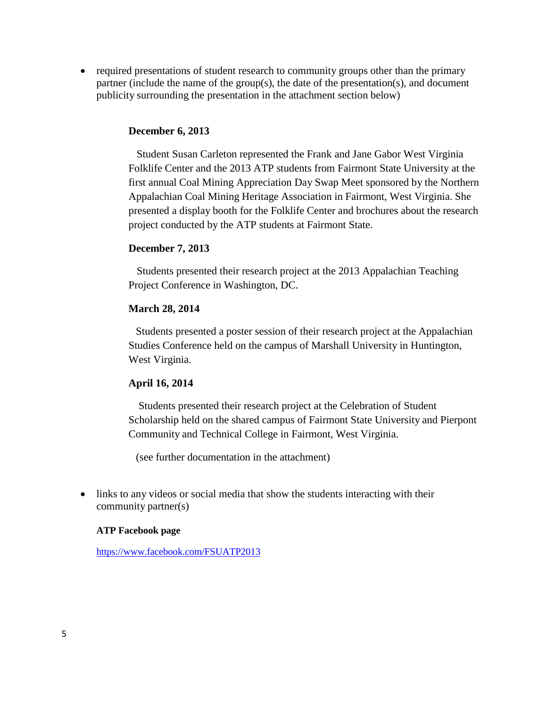• required presentations of student research to community groups other than the primary partner (include the name of the group(s), the date of the presentation(s), and document publicity surrounding the presentation in the attachment section below)

### **December 6, 2013**

Student Susan Carleton represented the Frank and Jane Gabor West Virginia Folklife Center and the 2013 ATP students from Fairmont State University at the first annual Coal Mining Appreciation Day Swap Meet sponsored by the Northern Appalachian Coal Mining Heritage Association in Fairmont, West Virginia. She presented a display booth for the Folklife Center and brochures about the research project conducted by the ATP students at Fairmont State.

## **December 7, 2013**

Students presented their research project at the 2013 Appalachian Teaching Project Conference in Washington, DC.

## **March 28, 2014**

Students presented a poster session of their research project at the Appalachian Studies Conference held on the campus of Marshall University in Huntington, West Virginia.

### **April 16, 2014**

Students presented their research project at the Celebration of Student Scholarship held on the shared campus of Fairmont State University and Pierpont Community and Technical College in Fairmont, West Virginia.

(see further documentation in the attachment)

• links to any videos or social media that show the students interacting with their community partner(s)

### **ATP Facebook page**

<https://www.facebook.com/FSUATP2013>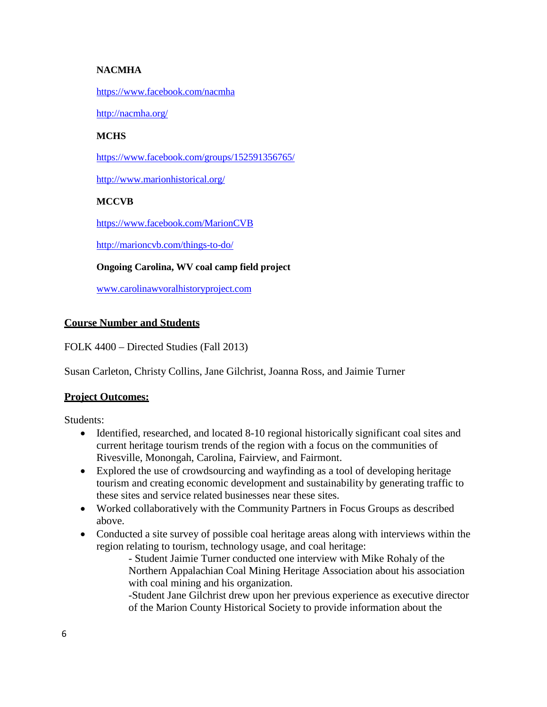### **NACMHA**

#### <https://www.facebook.com/nacmha>

<http://nacmha.org/>

#### **MCHS**

<https://www.facebook.com/groups/152591356765/>

<http://www.marionhistorical.org/>

### **MCCVB**

<https://www.facebook.com/MarionCVB>

<http://marioncvb.com/things-to-do/>

#### **Ongoing Carolina, WV coal camp field project**

[www.carolinawvoralhistoryproject.com](http://www.carolinawvoralhistoryproject.com/)

### **Course Number and Students**

FOLK 4400 – Directed Studies (Fall 2013)

Susan Carleton, Christy Collins, Jane Gilchrist, Joanna Ross, and Jaimie Turner

### **Project Outcomes:**

Students:

- Identified, researched, and located 8-10 regional historically significant coal sites and current heritage tourism trends of the region with a focus on the communities of Rivesville, Monongah, Carolina, Fairview, and Fairmont.
- Explored the use of crowdsourcing and wayfinding as a tool of developing heritage tourism and creating economic development and sustainability by generating traffic to these sites and service related businesses near these sites.
- Worked collaboratively with the Community Partners in Focus Groups as described above.
- Conducted a site survey of possible coal heritage areas along with interviews within the region relating to tourism, technology usage, and coal heritage:
	- Student Jaimie Turner conducted one interview with Mike Rohaly of the Northern Appalachian Coal Mining Heritage Association about his association with coal mining and his organization.

-Student Jane Gilchrist drew upon her previous experience as executive director of the Marion County Historical Society to provide information about the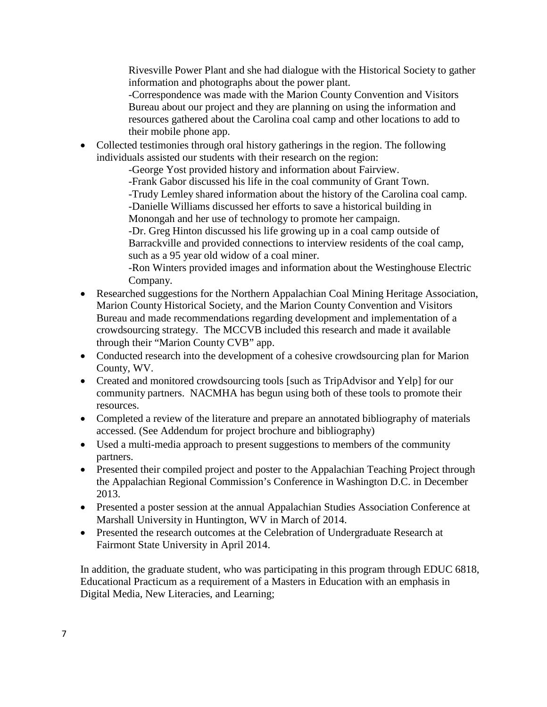Rivesville Power Plant and she had dialogue with the Historical Society to gather information and photographs about the power plant.

-Correspondence was made with the Marion County Convention and Visitors Bureau about our project and they are planning on using the information and resources gathered about the Carolina coal camp and other locations to add to their mobile phone app.

• Collected testimonies through oral history gatherings in the region. The following individuals assisted our students with their research on the region:

-George Yost provided history and information about Fairview.

-Frank Gabor discussed his life in the coal community of Grant Town.

-Trudy Lemley shared information about the history of the Carolina coal camp. -Danielle Williams discussed her efforts to save a historical building in

Monongah and her use of technology to promote her campaign.

-Dr. Greg Hinton discussed his life growing up in a coal camp outside of Barrackville and provided connections to interview residents of the coal camp, such as a 95 year old widow of a coal miner.

-Ron Winters provided images and information about the Westinghouse Electric Company.

- Researched suggestions for the Northern Appalachian Coal Mining Heritage Association, Marion County Historical Society, and the Marion County Convention and Visitors Bureau and made recommendations regarding development and implementation of a crowdsourcing strategy. The MCCVB included this research and made it available through their "Marion County CVB" app.
- Conducted research into the development of a cohesive crowdsourcing plan for Marion County, WV.
- Created and monitored crowdsourcing tools [such as TripAdvisor and Yelp] for our community partners. NACMHA has begun using both of these tools to promote their resources.
- Completed a review of the literature and prepare an annotated bibliography of materials accessed. (See Addendum for project brochure and bibliography)
- Used a multi-media approach to present suggestions to members of the community partners.
- Presented their compiled project and poster to the Appalachian Teaching Project through the Appalachian Regional Commission's Conference in Washington D.C. in December 2013.
- Presented a poster session at the annual Appalachian Studies Association Conference at Marshall University in Huntington, WV in March of 2014.
- Presented the research outcomes at the Celebration of Undergraduate Research at Fairmont State University in April 2014.

In addition, the graduate student, who was participating in this program through EDUC 6818, Educational Practicum as a requirement of a Masters in Education with an emphasis in Digital Media, New Literacies, and Learning;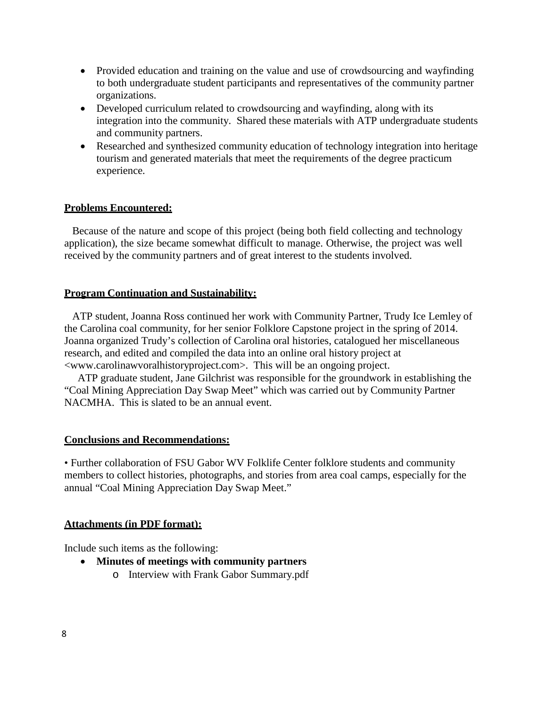- Provided education and training on the value and use of crowdsourcing and wayfinding to both undergraduate student participants and representatives of the community partner organizations.
- Developed curriculum related to crowdsourcing and wayfinding, along with its integration into the community. Shared these materials with ATP undergraduate students and community partners.
- Researched and synthesized community education of technology integration into heritage tourism and generated materials that meet the requirements of the degree practicum experience.

### **Problems Encountered:**

Because of the nature and scope of this project (being both field collecting and technology application), the size became somewhat difficult to manage. Otherwise, the project was well received by the community partners and of great interest to the students involved.

#### **Program Continuation and Sustainability:**

ATP student, Joanna Ross continued her work with Community Partner, Trudy Ice Lemley of the Carolina coal community, for her senior Folklore Capstone project in the spring of 2014. Joanna organized Trudy's collection of Carolina oral histories, catalogued her miscellaneous research, and edited and compiled the data into an online oral history project at [<www.carolinawvoralhistoryproject.com>.](http://www.carolinawvoralhistoryproject.com/) This will be an ongoing project.

ATP graduate student, Jane Gilchrist was responsible for the groundwork in establishing the "Coal Mining Appreciation Day Swap Meet" which was carried out by Community Partner NACMHA. This is slated to be an annual event.

### **Conclusions and Recommendations:**

• Further collaboration of FSU Gabor WV Folklife Center folklore students and community members to collect histories, photographs, and stories from area coal camps, especially for the annual "Coal Mining Appreciation Day Swap Meet."

### **Attachments (in PDF format):**

Include such items as the following:

- **Minutes of meetings with community partners**
	- o Interview with Frank Gabor Summary.pdf